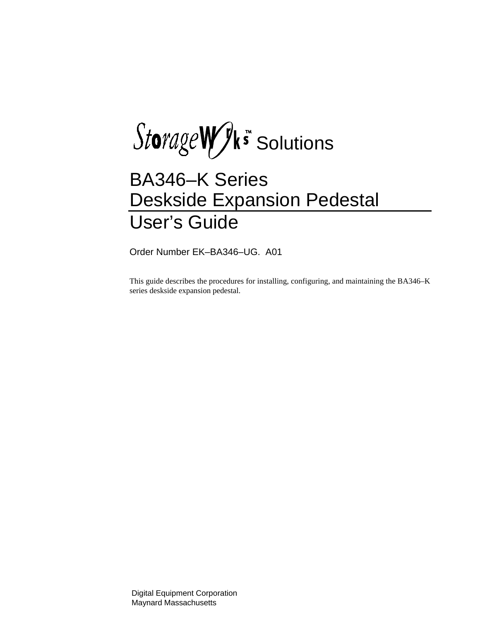$Storage WJk$ s Solutions

# BA346–K Series Deskside Expansion Pedestal User's Guide

Order Number EK–BA346–UG. A01

This guide describes the procedures for installing, configuring, and maintaining the BA346–K series deskside expansion pedestal.

Digital Equipment Corporation Maynard Massachusetts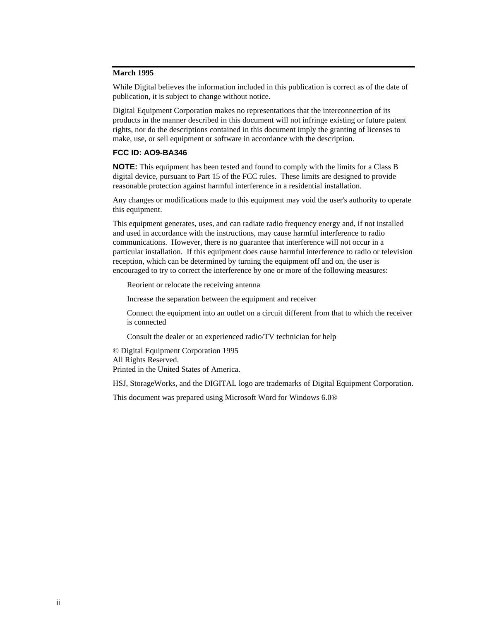### **March 1995**

While Digital believes the information included in this publication is correct as of the date of publication, it is subject to change without notice.

Digital Equipment Corporation makes no representations that the interconnection of its products in the manner described in this document will not infringe existing or future patent rights, nor do the descriptions contained in this document imply the granting of licenses to make, use, or sell equipment or software in accordance with the description.

#### **FCC ID: AO9-BA346**

**NOTE:** This equipment has been tested and found to comply with the limits for a Class B digital device, pursuant to Part 15 of the FCC rules. These limits are designed to provide reasonable protection against harmful interference in a residential installation.

Any changes or modifications made to this equipment may void the user's authority to operate this equipment.

This equipment generates, uses, and can radiate radio frequency energy and, if not installed and used in accordance with the instructions, may cause harmful interference to radio communications. However, there is no guarantee that interference will not occur in a particular installation. If this equipment does cause harmful interference to radio or television reception, which can be determined by turning the equipment off and on, the user is encouraged to try to correct the interference by one or more of the following measures:

Reorient or relocate the receiving antenna

Increase the separation between the equipment and receiver

Connect the equipment into an outlet on a circuit different from that to which the receiver is connected

Consult the dealer or an experienced radio/TV technician for help

© Digital Equipment Corporation 1995 All Rights Reserved. Printed in the United States of America.

HSJ, StorageWorks, and the DIGITAL logo are trademarks of Digital Equipment Corporation.

This document was prepared using Microsoft Word for Windows 6.0®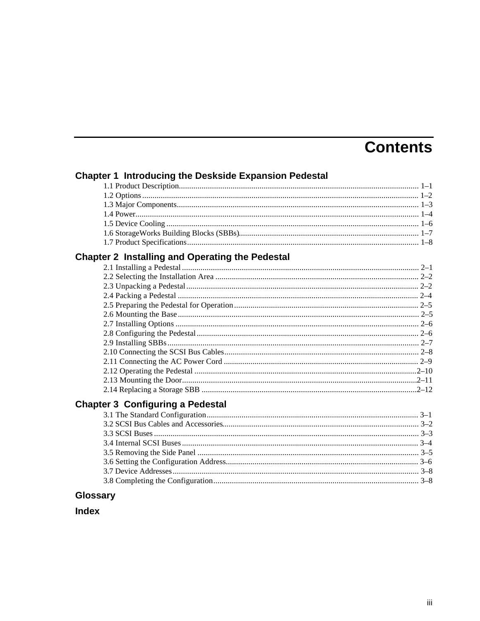# **Contents**

|  | <b>Chapter 1 Introducing the Deskside Expansion Pedestal</b> |  |  |  |
|--|--------------------------------------------------------------|--|--|--|
|--|--------------------------------------------------------------|--|--|--|

## **Chapter 2 Installing and Operating the Pedestal**

|  | $2 - 5$ |
|--|---------|
|  |         |
|  |         |
|  |         |
|  |         |
|  |         |
|  |         |
|  |         |
|  |         |
|  |         |
|  |         |

## **Chapter 3 Configuring a Pedestal**

### Glossary

### **Index**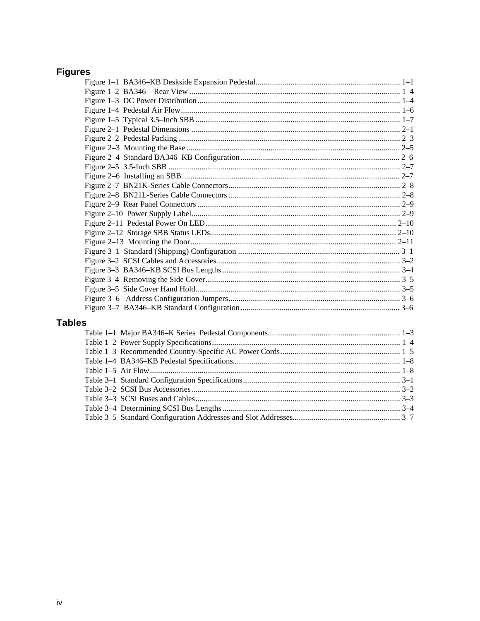# **Figures**

| èS.                                                 |                |
|-----------------------------------------------------|----------------|
| Table 1 1 Maior DA246 V Sarias, Dadastal Components | 1 <sub>2</sub> |

## Table: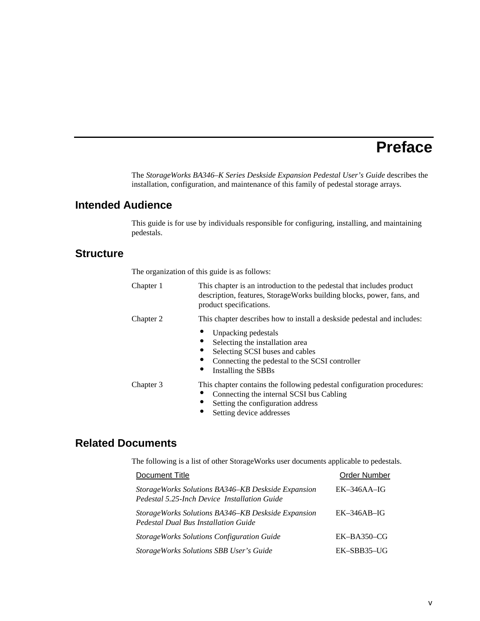# **Preface**

The *StorageWorks BA346–K Series Deskside Expansion Pedestal User's Guide* describes the installation, configuration, and maintenance of this family of pedestal storage arrays.

### **Intended Audience**

This guide is for use by individuals responsible for configuring, installing, and maintaining pedestals.

### **Structure**

The organization of this guide is as follows:

| Chapter 1 | This chapter is an introduction to the pedestal that includes product<br>description, features, StorageWorks building blocks, power, fans, and<br>product specifications.           |
|-----------|-------------------------------------------------------------------------------------------------------------------------------------------------------------------------------------|
| Chapter 2 | This chapter describes how to install a deskside pedestal and includes:                                                                                                             |
|           | Unpacking pedestals<br>Selecting the installation area<br>Selecting SCSI buses and cables<br>Connecting the pedestal to the SCSI controller<br>Installing the SBBs                  |
| Chapter 3 | This chapter contains the following pedestal configuration procedures:<br>Connecting the internal SCSI bus Cabling<br>Setting the configuration address<br>Setting device addresses |

### **Related Documents**

The following is a list of other StorageWorks user documents applicable to pedestals.

| Document Title                                                                                     | <b>Order Number</b> |
|----------------------------------------------------------------------------------------------------|---------------------|
| StorageWorks Solutions BA346–KB Deskside Expansion<br>Pedestal 5.25-Inch Device Installation Guide | $EK-346AA-IG$       |
| StorageWorks Solutions BA346–KB Deskside Expansion<br>Pedestal Dual Bus Installation Guide         | $EK-346AB-IG$       |
| <b>StorageWorks Solutions Configuration Guide</b>                                                  | $EK-BA350-CG$       |
| StorageWorks Solutions SBB User's Guide                                                            | EK-SBB35-UG         |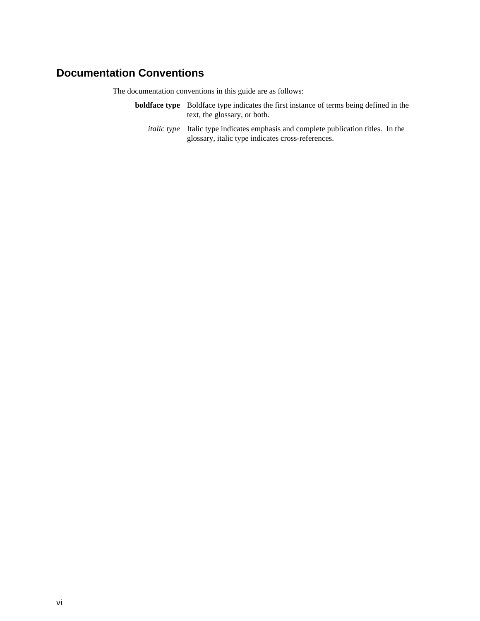### **Documentation Conventions**

The documentation conventions in this guide are as follows:

- **boldface type** Boldface type indicates the first instance of terms being defined in the text, the glossary, or both.
	- *italic type* Italic type indicates emphasis and complete publication titles. In the glossary, italic type indicates cross-references.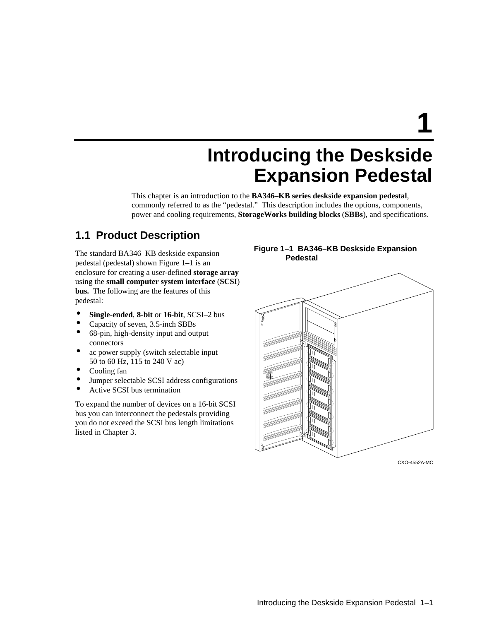**1**

# **Introducing the Deskside Expansion Pedestal**

This chapter is an introduction to the **BA346**–**KB series deskside expansion pedestal**, commonly referred to as the "pedestal." This description includes the options, components, power and cooling requirements, **StorageWorks building blocks** (**SBBs**), and specifications.

### **1.1 Product Description**

The standard BA346–KB deskside expansion pedestal (pedestal) shown Figure 1–1 is an enclosure for creating a user-defined **storage array** using the **small computer system interface** (**SCSI**) **bus.** The following are the features of this pedestal:

- **Single-ended**, **8-bit** or **16-bit**, SCSI–2 bus
- Capacity of seven, 3.5-inch SBBs
- 68-pin, high-density input and output connectors
- ac power supply (switch selectable input 50 to 60 Hz, 115 to 240 V ac)
- Cooling fan
- Jumper selectable SCSI address configurations
- Active SCSI bus termination

To expand the number of devices on a 16-bit SCSI bus you can interconnect the pedestals providing you do not exceed the SCSI bus length limitations listed in Chapter 3.

### **Figure 1–1 BA346–KB Deskside Expansion Pedestal**



CXO-4552A-MC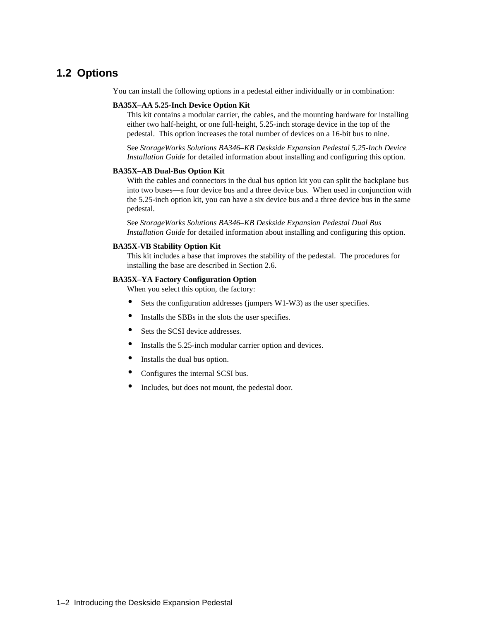### **1.2 Options**

You can install the following options in a pedestal either individually or in combination:

#### **BA35X–AA 5.25-Inch Device Option Kit**

This kit contains a modular carrier, the cables, and the mounting hardware for installing either two half-height, or one full-height, 5.25-inch storage device in the top of the pedestal. This option increases the total number of devices on a 16-bit bus to nine.

See *StorageWorks Solutions BA346–KB Deskside Expansion Pedestal 5.25-Inch Device Installation Guide* for detailed information about installing and configuring this option.

#### **BA35X–AB Dual-Bus Option Kit**

With the cables and connectors in the dual bus option kit you can split the backplane bus into two buses—a four device bus and a three device bus. When used in conjunction with the 5.25-inch option kit, you can have a six device bus and a three device bus in the same pedestal.

See *StorageWorks Solutions BA346–KB Deskside Expansion Pedestal Dual Bus Installation Guide* for detailed information about installing and configuring this option.

#### **BA35X-VB Stability Option Kit**

This kit includes a base that improves the stability of the pedestal. The procedures for installing the base are described in Section 2.6.

#### **BA35X–YA Factory Configuration Option**

When you select this option, the factory:

- Sets the configuration addresses (jumpers W1-W3) as the user specifies.
- Installs the SBBs in the slots the user specifies.
- Sets the SCSI device addresses.
- Installs the 5.25-inch modular carrier option and devices.
- Installs the dual bus option.
- Configures the internal SCSI bus.
- Includes, but does not mount, the pedestal door.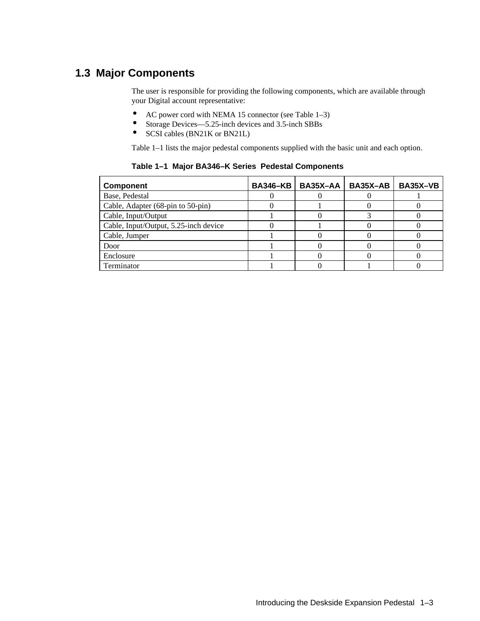### **1.3 Major Components**

The user is responsible for providing the following components, which are available through your Digital account representative:

- AC power cord with NEMA 15 connector (see Table 1–3)
- Storage Devices—5.25-inch devices and 3.5-inch SBBs
- SCSI cables (BN21K or BN21L)

Table 1–1 lists the major pedestal components supplied with the basic unit and each option.

| <b>Component</b>                      | <b>BA346-KB</b> | BA35X-AA | <b>BA35X-AB</b> | BA35X-VB |
|---------------------------------------|-----------------|----------|-----------------|----------|
| Base, Pedestal                        |                 |          |                 |          |
| Cable, Adapter (68-pin to 50-pin)     |                 |          |                 |          |
| Cable, Input/Output                   |                 |          |                 |          |
| Cable, Input/Output, 5.25-inch device |                 |          |                 |          |
| Cable, Jumper                         |                 |          |                 |          |
| Door                                  |                 |          |                 |          |
| Enclosure                             |                 |          |                 |          |
| Terminator                            |                 |          |                 |          |

**Table 1–1 Major BA346–K Series Pedestal Components**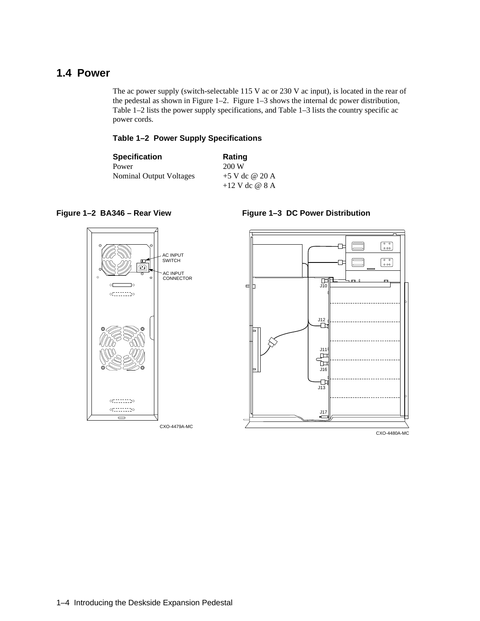### **1.4 Power**

The ac power supply (switch-selectable 115 V ac or 230 V ac input), is located in the rear of the pedestal as shown in Figure 1–2. Figure 1–3 shows the internal dc power distribution, Table 1–2 lists the power supply specifications, and Table 1–3 lists the country specific ac power cords.

### **Table 1–2 Power Supply Specifications**

| <b>Specification</b>    | Rating           |
|-------------------------|------------------|
| Power                   | 200 W            |
| Nominal Output Voltages | $+5$ V dc @ 20 A |
|                         | $+12$ V dc @ 8 A |

### **Figure 1–2 BA346 – Rear View**



### **Figure 1–3 DC Power Distribution**



CXO-4480A-MC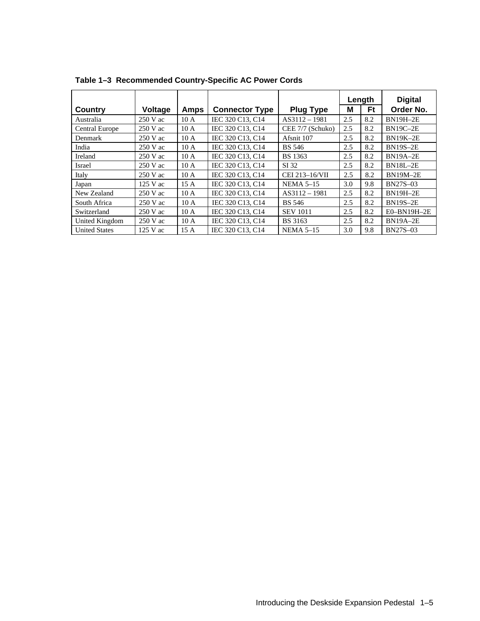|                       |            |      |                       |                  |     | Length | <b>Digital</b>  |
|-----------------------|------------|------|-----------------------|------------------|-----|--------|-----------------|
| Country               | Voltage    | Amps | <b>Connector Type</b> | <b>Plug Type</b> | М   | Ft     | Order No.       |
| Australia             | $250$ V ac | 10A  | IEC 320 C13, C14      | $AS3112 - 1981$  | 2.5 | 8.2    | <b>BN19H-2E</b> |
| <b>Central Europe</b> | $250$ V ac | 10A  | IEC 320 C13, C14      | CEE 7/7 (Schuko) | 2.5 | 8.2    | <b>BN19C-2E</b> |
| Denmark               | $250$ V ac | 10A  | IEC 320 C13, C14      | Afsnit 107       | 2.5 | 8.2    | <b>BN19K-2E</b> |
| India                 | $250$ V ac | 10A  | IEC 320 C13, C14      | <b>BS</b> 546    | 2.5 | 8.2    | <b>BN19S-2E</b> |
| Ireland               | $250$ V ac | 10A  | IEC 320 C13, C14      | <b>BS</b> 1363   | 2.5 | 8.2    | <b>BN19A-2E</b> |
| Israel                | $250$ V ac | 10A  | IEC 320 C13, C14      | SI 32            | 2.5 | 8.2    | <b>BN18L-2E</b> |
| Italy                 | $250$ V ac | 10A  | IEC 320 C13, C14      | CEI 213-16/VII   | 2.5 | 8.2    | <b>BN19M-2E</b> |
| Japan                 | $125$ V ac | 15A  | IEC 320 C13, C14      | <b>NEMA 5-15</b> | 3.0 | 9.8    | <b>BN27S-03</b> |
| New Zealand           | $250$ V ac | 10A  | IEC 320 C13, C14      | $AS3112 - 1981$  | 2.5 | 8.2    | <b>BN19H-2E</b> |
| South Africa          | $250$ V ac | 10A  | IEC 320 C13, C14      | <b>BS</b> 546    | 2.5 | 8.2    | <b>BN19S-2E</b> |
| Switzerland           | $250$ V ac | 10A  | IEC 320 C13, C14      | <b>SEV 1011</b>  | 2.5 | 8.2    | $E0-BN19H-2E$   |
| United Kingdom        | $250$ V ac | 10A  | IEC 320 C13, C14      | <b>BS</b> 3163   | 2.5 | 8.2    | <b>BN19A-2E</b> |
| <b>United States</b>  | 125 V ac   | 15A  | IEC 320 C13, C14      | <b>NEMA 5-15</b> | 3.0 | 9.8    | <b>BN27S-03</b> |

**Table 1–3 Recommended Country-Specific AC Power Cords**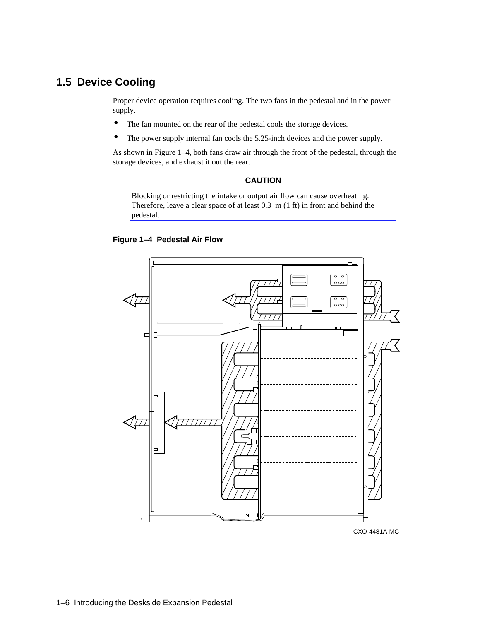### **1.5 Device Cooling**

Proper device operation requires cooling. The two fans in the pedestal and in the power supply.

- The fan mounted on the rear of the pedestal cools the storage devices.
- The power supply internal fan cools the 5.25-inch devices and the power supply.

As shown in Figure 1–4, both fans draw air through the front of the pedestal, through the storage devices, and exhaust it out the rear.

### **CAUTION**

Blocking or restricting the intake or output air flow can cause overheating. Therefore, leave a clear space of at least 0.3 m (1 ft) in front and behind the pedestal.





CXO-4481A-MC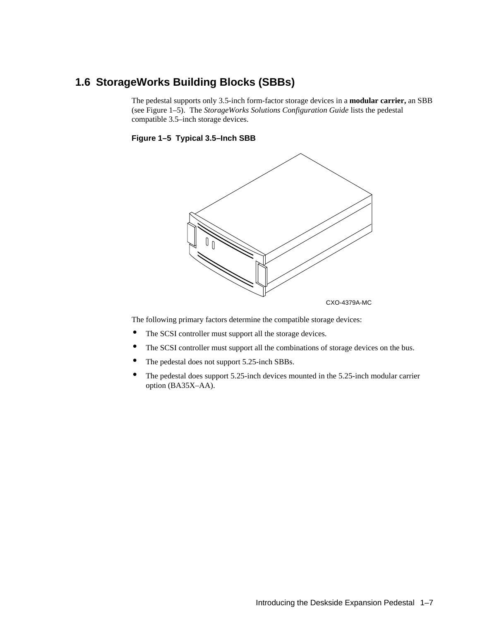### **1.6 StorageWorks Building Blocks (SBBs)**

The pedestal supports only 3.5-inch form-factor storage devices in a **modular carrier,** an SBB (see Figure 1–5). The *StorageWorks Solutions Configuration Guide* lists the pedestal compatible 3.5–inch storage devices.





The following primary factors determine the compatible storage devices:

- The SCSI controller must support all the storage devices.
- The SCSI controller must support all the combinations of storage devices on the bus.
- The pedestal does not support 5.25-inch SBBs.
- The pedestal does support 5.25-inch devices mounted in the 5.25-inch modular carrier option (BA35X–AA).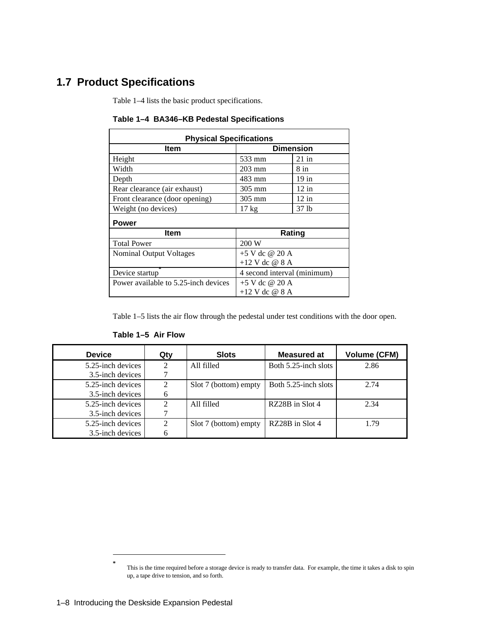## **1.7 Product Specifications**

Table 1–4 lists the basic product specifications.

| <b>Physical Specifications</b>       |                             |         |  |  |  |
|--------------------------------------|-----------------------------|---------|--|--|--|
| Item<br><b>Dimension</b>             |                             |         |  |  |  |
| Height                               | 533 mm                      | $21$ in |  |  |  |
| Width                                | $203 \text{ mm}$            | 8 in    |  |  |  |
| Depth                                | 483 mm                      | 19 in   |  |  |  |
| Rear clearance (air exhaust)         | $305 \text{ mm}$            | $12$ in |  |  |  |
| Front clearance (door opening)       | 305 mm                      | $12$ in |  |  |  |
| Weight (no devices)                  | $17 \text{ kg}$             | 37 lb   |  |  |  |
| <b>Power</b>                         |                             |         |  |  |  |
| <b>Item</b>                          | Rating                      |         |  |  |  |
| <b>Total Power</b>                   | 200 W                       |         |  |  |  |
| Nominal Output Voltages              | $+5$ V dc @ 20 A            |         |  |  |  |
|                                      | $+12$ V dc @ 8 A            |         |  |  |  |
| Device startup                       | 4 second interval (minimum) |         |  |  |  |
| Power available to 5.25-inch devices | $+5$ V dc @ 20 A            |         |  |  |  |
|                                      | $+12$ V dc @ 8 A            |         |  |  |  |

**Table 1–4 BA346–KB Pedestal Specifications**

Table 1–5 lists the air flow through the pedestal under test conditions with the door open.

| <b>Device</b>     | Qty                         | <b>Slots</b>          | <b>Measured at</b>   | <b>Volume (CFM)</b> |  |
|-------------------|-----------------------------|-----------------------|----------------------|---------------------|--|
| 5.25-inch devices | 2                           | All filled            | Both 5.25-inch slots | 2.86                |  |
| 3.5-inch devices  |                             |                       |                      |                     |  |
| 5.25-inch devices | 2                           | Slot 7 (bottom) empty | Both 5.25-inch slots | 2.74                |  |
| 3.5-inch devices  | 6                           |                       |                      |                     |  |
| 5.25-inch devices |                             | All filled            | RZ28B in Slot 4      | 2.34                |  |
| 3.5-inch devices  |                             |                       |                      |                     |  |
| 5.25-inch devices | $\mathcal{D}_{\mathcal{L}}$ | Slot 7 (bottom) empty | RZ28B in Slot 4      | 1.79                |  |
| 3.5-inch devices  |                             |                       |                      |                     |  |

**Table 1–5 Air Flow**

 $\overline{a}$ **\***

This is the time required before a storage device is ready to transfer data. For example, the time it takes a disk to spin up, a tape drive to tension, and so forth.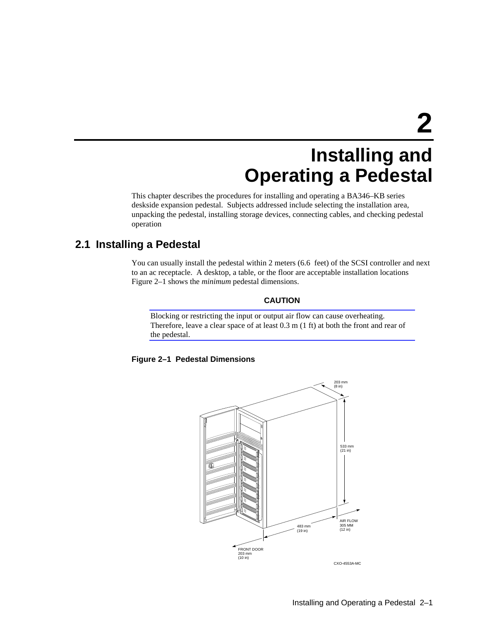# **Installing and Operating a Pedestal**

This chapter describes the procedures for installing and operating a BA346–KB series deskside expansion pedestal. Subjects addressed include selecting the installation area, unpacking the pedestal, installing storage devices, connecting cables, and checking pedestal operation

### **2.1 Installing a Pedestal**

You can usually install the pedestal within 2 meters (6.6 feet) of the SCSI controller and next to an ac receptacle. A desktop, a table, or the floor are acceptable installation locations Figure 2–1 shows the *minimum* pedestal dimensions.

### **CAUTION**

Blocking or restricting the input or output air flow can cause overheating. Therefore, leave a clear space of at least 0.3 m (1 ft) at both the front and rear of the pedestal.

### **Figure 2–1 Pedestal Dimensions**

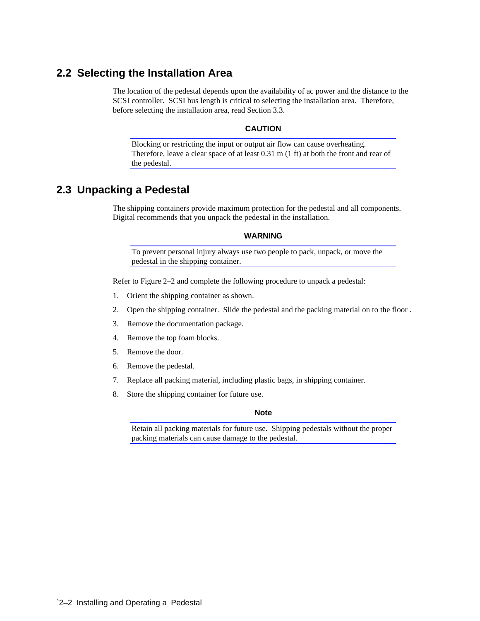### **2.2 Selecting the Installation Area**

The location of the pedestal depends upon the availability of ac power and the distance to the SCSI controller. SCSI bus length is critical to selecting the installation area. Therefore, before selecting the installation area, read Section 3.3.

#### **CAUTION**

Blocking or restricting the input or output air flow can cause overheating. Therefore, leave a clear space of at least 0.31 m (1 ft) at both the front and rear of the pedestal.

### **2.3 Unpacking a Pedestal**

The shipping containers provide maximum protection for the pedestal and all components. Digital recommends that you unpack the pedestal in the installation.

#### **WARNING**

To prevent personal injury always use two people to pack, unpack, or move the pedestal in the shipping container.

Refer to Figure 2–2 and complete the following procedure to unpack a pedestal:

- 1. Orient the shipping container as shown.
- 2. Open the shipping container. Slide the pedestal and the packing material on to the floor .
- 3. Remove the documentation package.
- 4. Remove the top foam blocks.
- 5. Remove the door.
- 6. Remove the pedestal.
- 7. Replace all packing material, including plastic bags, in shipping container.
- 8. Store the shipping container for future use.

#### **Note**

Retain all packing materials for future use. Shipping pedestals without the proper packing materials can cause damage to the pedestal.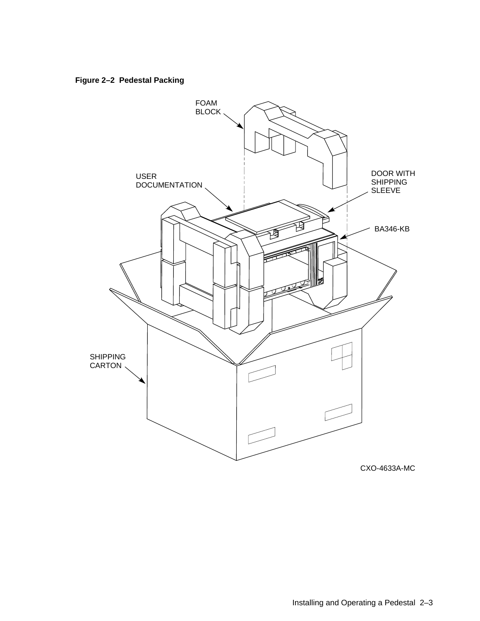**Figure 2–2 Pedestal Packing**

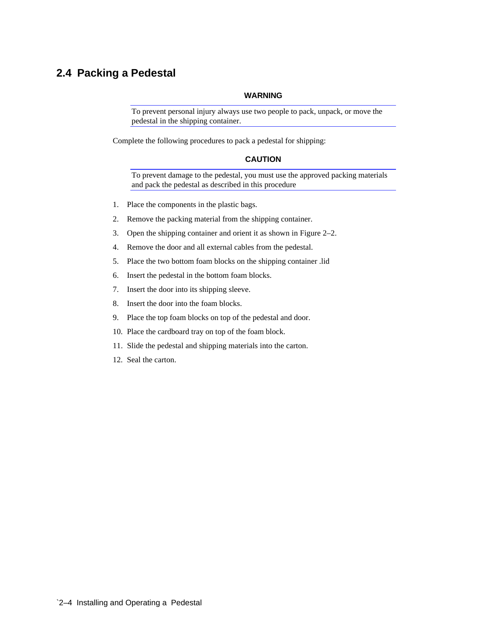### **2.4 Packing a Pedestal**

#### **WARNING**

To prevent personal injury always use two people to pack, unpack, or move the pedestal in the shipping container.

Complete the following procedures to pack a pedestal for shipping:

### **CAUTION**

To prevent damage to the pedestal, you must use the approved packing materials and pack the pedestal as described in this procedure

- 1. Place the components in the plastic bags.
- 2. Remove the packing material from the shipping container.
- 3. Open the shipping container and orient it as shown in Figure 2–2.
- 4. Remove the door and all external cables from the pedestal.
- 5. Place the two bottom foam blocks on the shipping container .lid
- 6. Insert the pedestal in the bottom foam blocks.
- 7. Insert the door into its shipping sleeve.
- 8. Insert the door into the foam blocks.
- 9. Place the top foam blocks on top of the pedestal and door.
- 10. Place the cardboard tray on top of the foam block.
- 11. Slide the pedestal and shipping materials into the carton.
- 12. Seal the carton.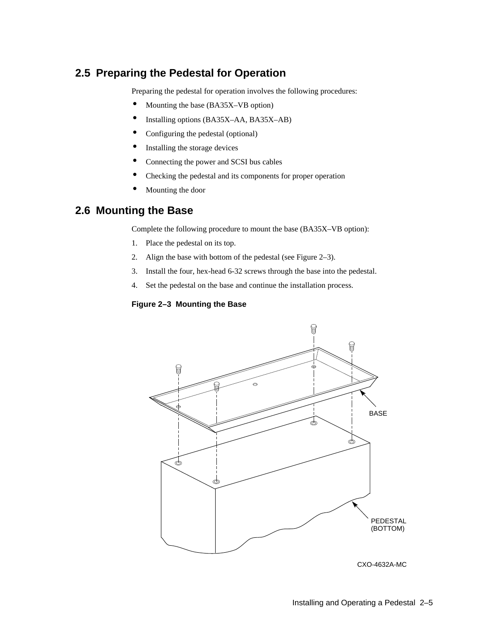### **2.5 Preparing the Pedestal for Operation**

Preparing the pedestal for operation involves the following procedures:

- Mounting the base (BA35X–VB option)
- Installing options (BA35X–AA, BA35X–AB)
- Configuring the pedestal (optional)
- Installing the storage devices
- Connecting the power and SCSI bus cables
- Checking the pedestal and its components for proper operation
- Mounting the door

### **2.6 Mounting the Base**

Complete the following procedure to mount the base (BA35X–VB option):

- 1. Place the pedestal on its top.
- 2. Align the base with bottom of the pedestal (see Figure 2–3).
- 3. Install the four, hex-head 6-32 screws through the base into the pedestal.
- 4. Set the pedestal on the base and continue the installation process.

### **Figure 2–3 Mounting the Base**



CXO-4632A-MC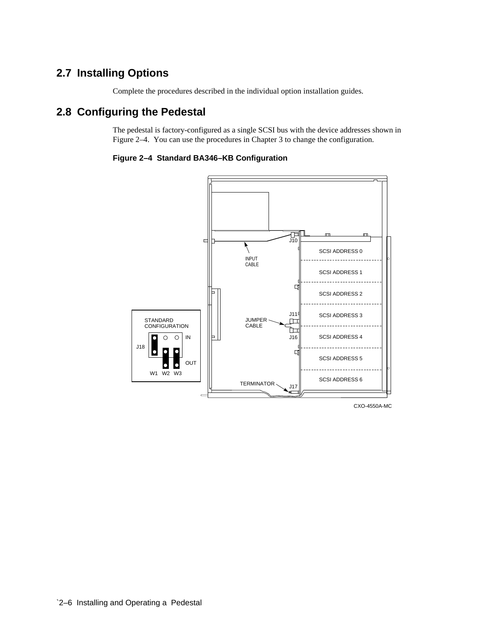### **2.7 Installing Options**

Complete the procedures described in the individual option installation guides.

### **2.8 Configuring the Pedestal**

The pedestal is factory-configured as a single SCSI bus with the device addresses shown in Figure 2–4. You can use the procedures in Chapter 3 to change the configuration.

**Figure 2–4 Standard BA346–KB Configuration**



CXO-4550A-MC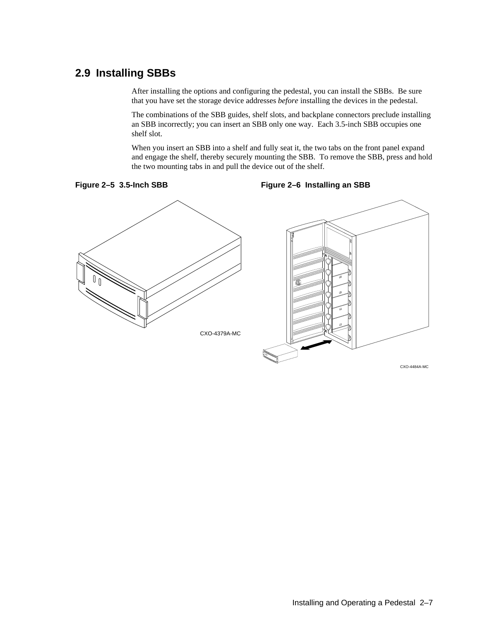### **2.9 Installing SBBs**

After installing the options and configuring the pedestal, you can install the SBBs. Be sure that you have set the storage device addresses *before* installing the devices in the pedestal.

The combinations of the SBB guides, shelf slots, and backplane connectors preclude installing an SBB incorrectly; you can insert an SBB only one way. Each 3.5-inch SBB occupies one shelf slot.

When you insert an SBB into a shelf and fully seat it, the two tabs on the front panel expand and engage the shelf, thereby securely mounting the SBB. To remove the SBB, press and hold the two mounting tabs in and pull the device out of the shelf.



**Figure 2–6 Installing an SBB**

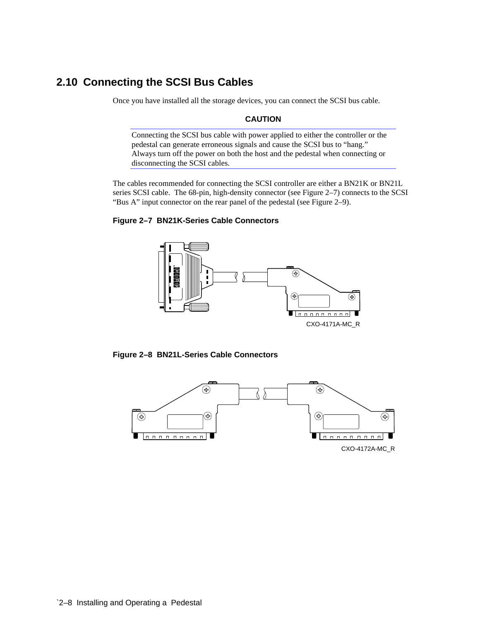### **2.10 Connecting the SCSI Bus Cables**

Once you have installed all the storage devices, you can connect the SCSI bus cable.

### **CAUTION**

Connecting the SCSI bus cable with power applied to either the controller or the pedestal can generate erroneous signals and cause the SCSI bus to "hang." Always turn off the power on both the host and the pedestal when connecting or disconnecting the SCSI cables.

The cables recommended for connecting the SCSI controller are either a BN21K or BN21L series SCSI cable. The 68-pin, high-density connector (see Figure 2–7) connects to the SCSI "Bus A" input connector on the rear panel of the pedestal (see Figure 2–9).

### **Figure 2–7 BN21K-Series Cable Connectors**



**Figure 2–8 BN21L-Series Cable Connectors**

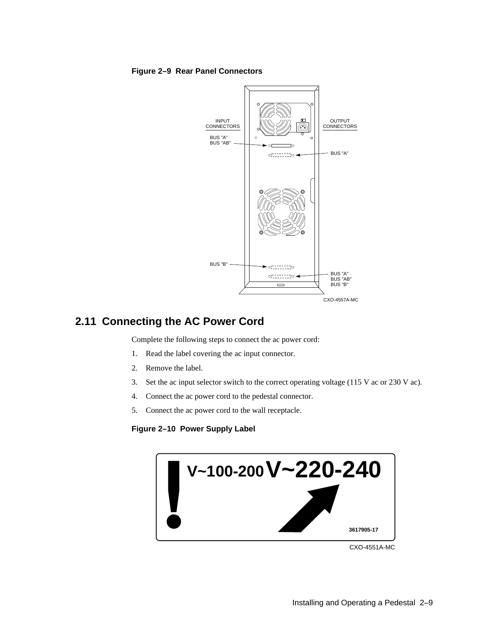**Figure 2–9 Rear Panel Connectors**



### **2.11 Connecting the AC Power Cord**

Complete the following steps to connect the ac power cord:

- 1. Read the label covering the ac input connector.
- 2. Remove the label.
- 3. Set the ac input selector switch to the correct operating voltage (115 V ac or 230 V ac).
- 4. Connect the ac power cord to the pedestal connector.
- 5. Connect the ac power cord to the wall receptacle.

### **Figure 2–10 Power Supply Label**



CXO-4551A-MC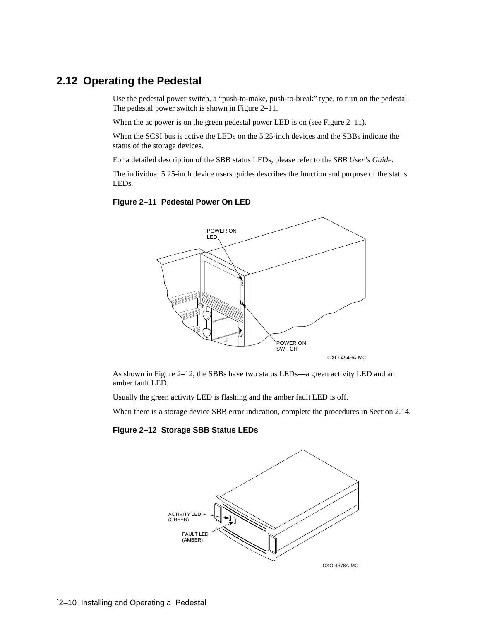### **2.12 Operating the Pedestal**

Use the pedestal power switch, a "push-to-make, push-to-break" type, to turn on the pedestal. The pedestal power switch is shown in Figure 2–11.

When the ac power is on the green pedestal power LED is on (see Figure 2–11).

When the SCSI bus is active the LEDs on the 5.25-inch devices and the SBBs indicate the status of the storage devices.

For a detailed description of the SBB status LEDs, please refer to the *SBB User's Guide*.

The individual 5.25-inch device users guides describes the function and purpose of the status LEDs.

#### **Figure 2–11 Pedestal Power On LED**



As shown in Figure 2–12, the SBBs have two status LEDs—a green activity LED and an amber fault LED.

Usually the green activity LED is flashing and the amber fault LED is off.

When there is a storage device SBB error indication, complete the procedures in Section 2.14.

#### **Figure 2–12 Storage SBB Status LEDs**

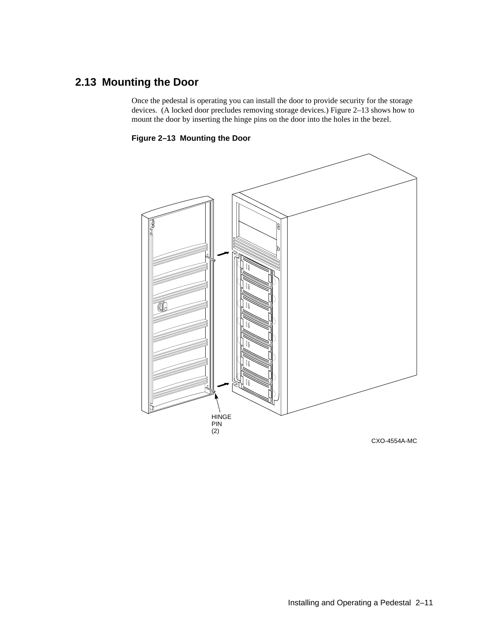## **2.13 Mounting the Door**

Once the pedestal is operating you can install the door to provide security for the storage devices. (A locked door precludes removing storage devices.) Figure 2–13 shows how to mount the door by inserting the hinge pins on the door into the holes in the bezel.

**Figure 2–13 Mounting the Door**



CXO-4554A-MC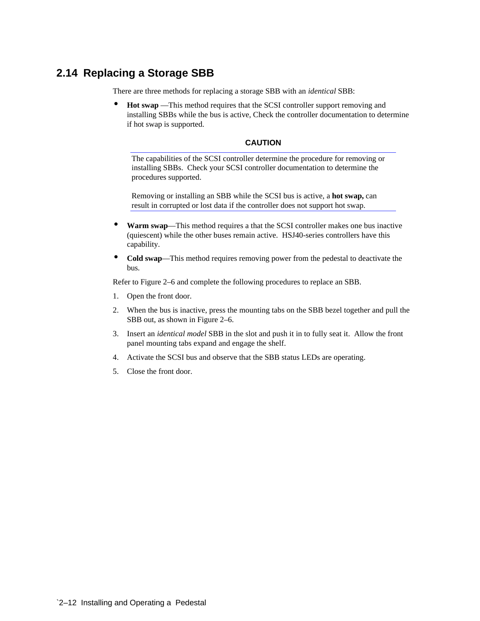### **2.14 Replacing a Storage SBB**

There are three methods for replacing a storage SBB with an *identical* SBB:

• **Hot swap** —This method requires that the SCSI controller support removing and installing SBBs while the bus is active, Check the controller documentation to determine if hot swap is supported.

### **CAUTION**

The capabilities of the SCSI controller determine the procedure for removing or installing SBBs. Check your SCSI controller documentation to determine the procedures supported.

Removing or installing an SBB while the SCSI bus is active, a **hot swap,** can result in corrupted or lost data if the controller does not support hot swap.

- **Warm swap**—This method requires a that the SCSI controller makes one bus inactive (quiescent) while the other buses remain active. HSJ40-series controllers have this capability.
- **Cold swap**—This method requires removing power from the pedestal to deactivate the bus.

Refer to Figure 2–6 and complete the following procedures to replace an SBB.

- 1. Open the front door.
- 2. When the bus is inactive, press the mounting tabs on the SBB bezel together and pull the SBB out, as shown in Figure 2–6.
- 3. Insert an *identical model* SBB in the slot and push it in to fully seat it. Allow the front panel mounting tabs expand and engage the shelf.
- 4. Activate the SCSI bus and observe that the SBB status LEDs are operating.
- 5. Close the front door.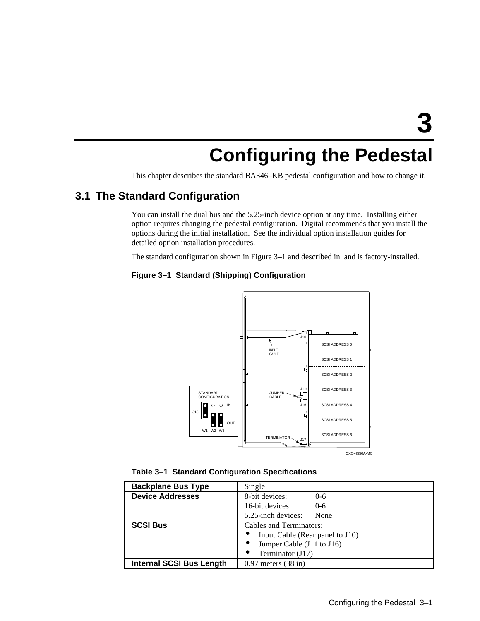# **Configuring the Pedestal**

This chapter describes the standard BA346–KB pedestal configuration and how to change it.

### **3.1 The Standard Configuration**

You can install the dual bus and the 5.25-inch device option at any time. Installing either option requires changing the pedestal configuration. Digital recommends that you install the options during the initial installation. See the individual option installation guides for detailed option installation procedures.

The standard configuration shown in Figure 3–1 and described in and is factory-installed.

### **Figure 3–1 Standard (Shipping) Configuration**



**Table 3–1 Standard Configuration Specifications**

| <b>Backplane Bus Type</b>       | Single                          |  |  |
|---------------------------------|---------------------------------|--|--|
| <b>Device Addresses</b>         | 8-bit devices:<br>$0 - 6$       |  |  |
|                                 | 16-bit devices:<br>$0 - 6$      |  |  |
|                                 | 5.25-inch devices:<br>None      |  |  |
| <b>SCSI Bus</b>                 | <b>Cables and Terminators:</b>  |  |  |
|                                 | Input Cable (Rear panel to J10) |  |  |
|                                 | Jumper Cable (J11 to J16)       |  |  |
|                                 | Terminator (J17)                |  |  |
| <b>Internal SCSI Bus Length</b> | $0.97$ meters $(38$ in)         |  |  |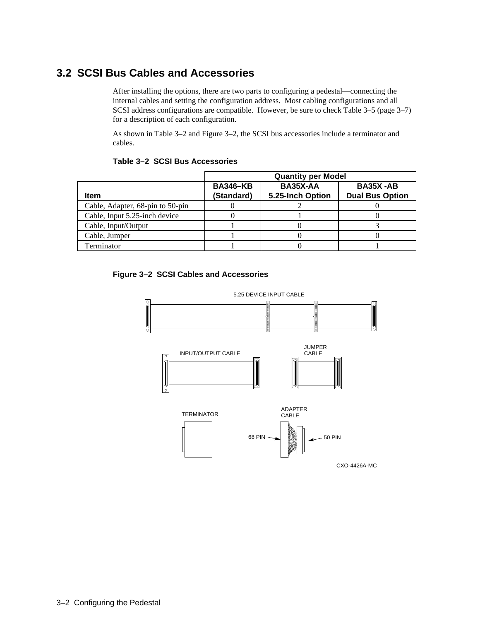### **3.2 SCSI Bus Cables and Accessories**

After installing the options, there are two parts to configuring a pedestal—connecting the internal cables and setting the configuration address. Most cabling configurations and all SCSI address configurations are compatible. However, be sure to check Table 3–5 (page 3–7) for a description of each configuration.

As shown in Table 3–2 and Figure 3–2, the SCSI bus accessories include a terminator and cables.

|                                  | <b>Quantity per Model</b>     |                              |                                           |  |  |
|----------------------------------|-------------------------------|------------------------------|-------------------------------------------|--|--|
| <b>Item</b>                      | <b>BA346-KB</b><br>(Standard) | BA35X-AA<br>5.25-Inch Option | <b>BA35X-AB</b><br><b>Dual Bus Option</b> |  |  |
| Cable, Adapter, 68-pin to 50-pin |                               |                              |                                           |  |  |
| Cable, Input 5.25-inch device    |                               |                              |                                           |  |  |
| Cable, Input/Output              |                               |                              |                                           |  |  |
| Cable, Jumper                    |                               |                              |                                           |  |  |
| Terminator                       |                               |                              |                                           |  |  |

### **Table 3–2 SCSI Bus Accessories**



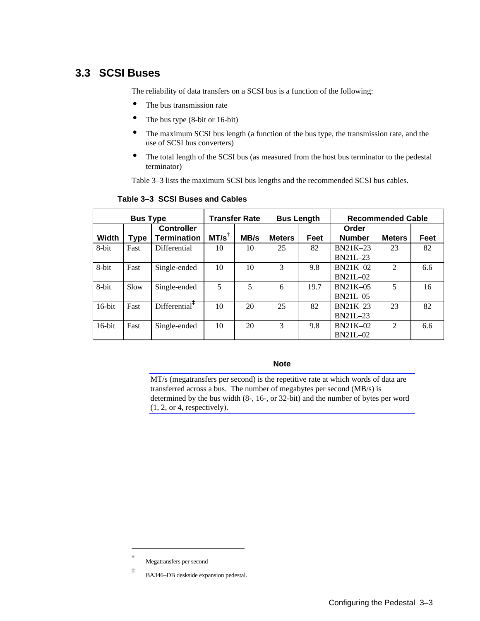### **3.3 SCSI Buses**

The reliability of data transfers on a SCSI bus is a function of the following:

- The bus transmission rate
- The bus type (8-bit or 16-bit)
- The maximum SCSI bus length (a function of the bus type, the transmission rate, and the use of SCSI bus converters)
- The total length of the SCSI bus (as measured from the host bus terminator to the pedestal terminator)

Table 3–3 lists the maximum SCSI bus lengths and the recommended SCSI bus cables.

| <b>Bus Type</b> |      | <b>Transfer Rate</b>                    |                  | <b>Bus Length</b> |               | <b>Recommended Cable</b> |                               |                |      |
|-----------------|------|-----------------------------------------|------------------|-------------------|---------------|--------------------------|-------------------------------|----------------|------|
| <b>Width</b>    | Type | <b>Controller</b><br><b>Termination</b> | $MT/s^{\dagger}$ | MB/s              | <b>Meters</b> | Feet                     | Order<br><b>Number</b>        | <b>Meters</b>  | Feet |
| 8-bit           | Fast | Differential                            | 10               | 10                | 25            | 82                       | $BN21K-23$<br><b>BN21L-23</b> | 23             | 82   |
| 8-bit           | Fast | Single-ended                            | 10               | 10                | 3             | 9.8                      | $BN21K-02$<br><b>BN21L-02</b> | 2              | 6.6  |
| 8-bit           | Slow | Single-ended                            | 5                | 5                 | 6             | 19.7                     | $BN21K-05$<br><b>BN21L-05</b> | 5              | 16   |
| $16$ -bit       | Fast | $Differential^*$                        | 10               | 20                | 25            | 82                       | $BN21K-23$<br><b>BN21L-23</b> | 23             | 82   |
| $16$ -bit       | Fast | Single-ended                            | 10               | 20                | 3             | 9.8                      | $BN21K-02$<br>BN21L-02        | $\mathfrak{D}$ | 6.6  |

### **Table 3–3 SCSI Buses and Cables**

**Note**

MT/s (megatransfers per second) is the repetitive rate at which words of data are transferred across a bus. The number of megabytes per second (MB/s) is determined by the bus width (8-, 16-, or 32-bit) and the number of bytes per word (1, 2, or 4, respectively).

 $\overline{a}$ 

**<sup>†</sup>** Megatransfers per second

**<sup>‡</sup>** BA346–DB deskside expansion pedestal.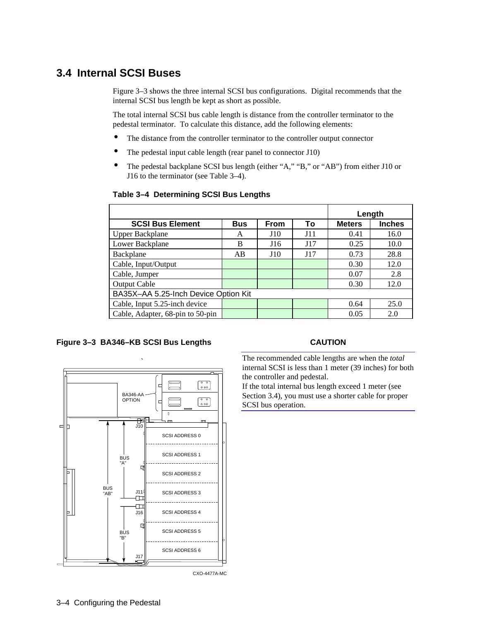### **3.4 Internal SCSI Buses**

Figure 3–3 shows the three internal SCSI bus configurations. Digital recommends that the internal SCSI bus length be kept as short as possible.

The total internal SCSI bus cable length is distance from the controller terminator to the pedestal terminator. To calculate this distance, add the following elements:

- The distance from the controller terminator to the controller output connector
- The pedestal input cable length (rear panel to connector J10)
- The pedestal backplane SCSI bus length (either "A," "B," or "AB") from either J10 or J16 to the terminator (see Table 3–4).

|                                      |            |             |     | Length        |               |
|--------------------------------------|------------|-------------|-----|---------------|---------------|
| <b>SCSI Bus Element</b>              | <b>Bus</b> | <b>From</b> | To  | <b>Meters</b> | <b>Inches</b> |
| <b>Upper Backplane</b>               | A          | J10         | J11 | 0.41          | 16.0          |
| Lower Backplane                      | B          | J16         | J17 | 0.25          | 10.0          |
| Backplane                            | AB         | J10         | J17 | 0.73          | 28.8          |
| Cable, Input/Output                  |            |             |     | 0.30          | 12.0          |
| Cable, Jumper                        |            |             |     | 0.07          | 2.8           |
| <b>Output Cable</b>                  |            |             |     | 0.30          | 12.0          |
| BA35X-AA 5.25-Inch Device Option Kit |            |             |     |               |               |
| Cable, Input 5.25-inch device        |            |             |     | 0.64          | 25.0          |
| Cable, Adapter, 68-pin to 50-pin     |            |             |     | 0.05          | 2.0           |

#### **Table 3–4 Determining SCSI Bus Lengths**

#### **Figure 3–3 BA346–KB SCSI Bus Lengths**



CXO-4477A-MC

### **CAUTION**

The recommended cable lengths are when the *total* internal SCSI is less than 1 meter (39 inches) for both the controller and pedestal.

If the total internal bus length exceed 1 meter (see Section 3.4), you must use a shorter cable for proper SCSI bus operation.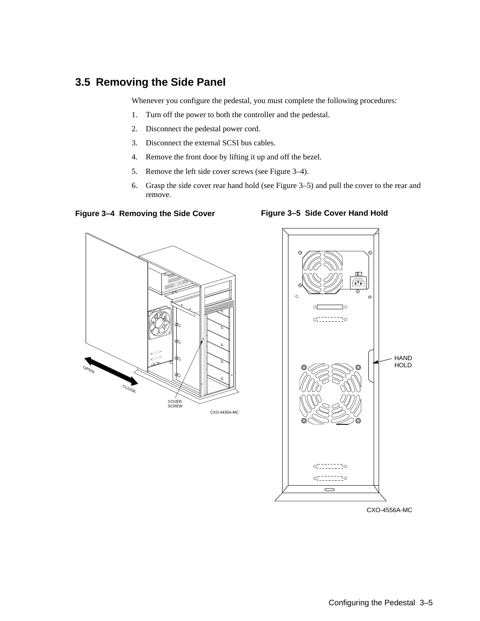### **3.5 Removing the Side Panel**

Whenever you configure the pedestal, you must complete the following procedures:

- 1. Turn off the power to both the controller and the pedestal.
- 2. Disconnect the pedestal power cord.
- 3. Disconnect the external SCSI bus cables.
- 4. Remove the front door by lifting it up and off the bezel.
- 5. Remove the left side cover screws (see Figure 3–4).
- 6. Grasp the side cover rear hand hold (see Figure 3–5) and pull the cover to the rear and remove.

**Figure 3–4 Removing the Side Cover**





**Figure 3–5 Side Cover Hand Hold**

CXO-4556A-MC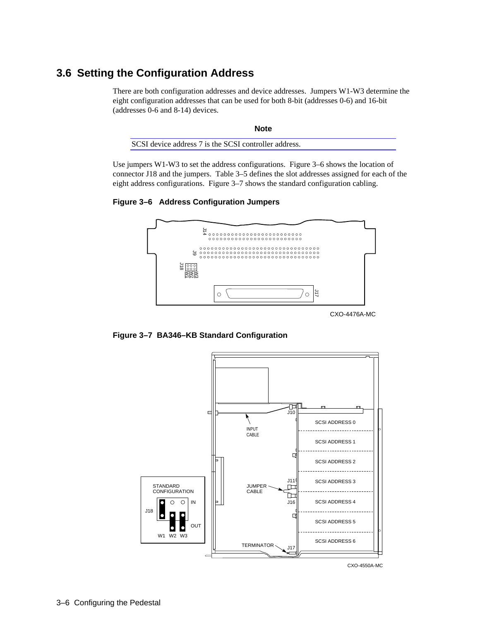### **3.6 Setting the Configuration Address**

There are both configuration addresses and device addresses. Jumpers W1-W3 determine the eight configuration addresses that can be used for both 8-bit (addresses 0-6) and 16-bit (addresses 0-6 and 8-14) devices.

| <b>Note</b>                                           |  |
|-------------------------------------------------------|--|
| SCSI device address 7 is the SCSI controller address. |  |

Use jumpers W1-W3 to set the address configurations. Figure 3–6 shows the location of connector J18 and the jumpers. Table 3–5 defines the slot addresses assigned for each of the eight address configurations. Figure 3–7 shows the standard configuration cabling.

**Figure 3–6 Address Configuration Jumpers**



**Figure 3–7 BA346–KB Standard Configuration**



CXO-4550A-MC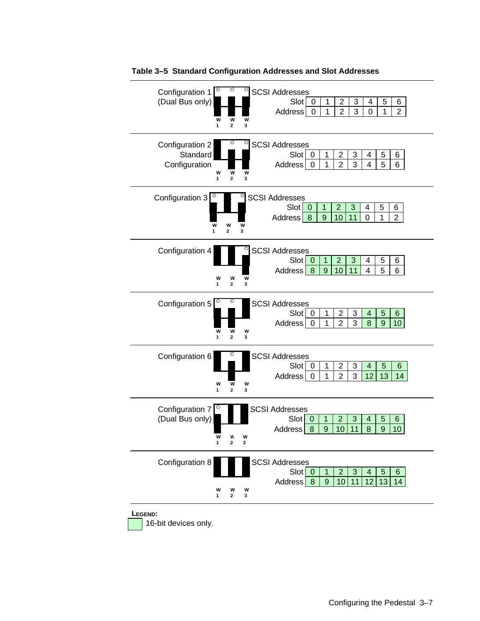

### **Table 3–5 Standard Configuration Addresses and Slot Addresses**

16-bit devices only.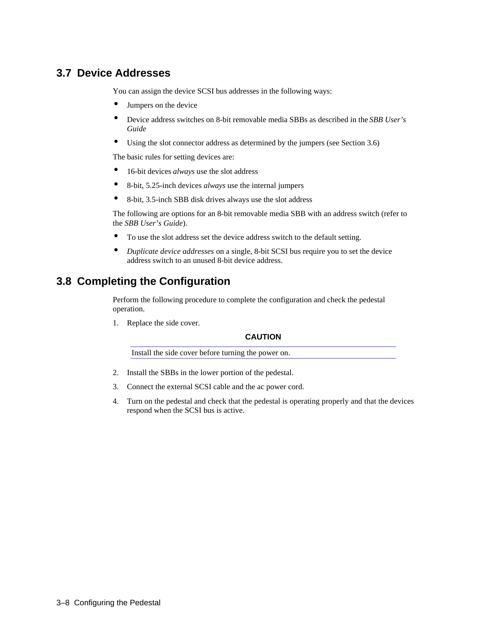### **3.7 Device Addresses**

You can assign the device SCSI bus addresses in the following ways:

- Jumpers on the device
- Device address switches on 8-bit removable media SBBs as described in the *SBB User's Guide*
- Using the slot connector address as determined by the jumpers (see Section 3.6)

The basic rules for setting devices are:

- 16-bit devices *always* use the slot address
- 8-bit, 5.25-inch devices *always* use the internal jumpers
- 8-bit, 3.5-inch SBB disk drives always use the slot address

The following are options for an 8-bit removable media SBB with an address switch (refer to the *SBB User's Guide*).

- To use the slot address set the device address switch to the default setting.
- *Duplicate device addresses* on a single, 8-bit SCSI bus require you to set the device address switch to an unused 8-bit device address.

### **3.8 Completing the Configuration**

Perform the following procedure to complete the configuration and check the pedestal operation.

1. Replace the side cover.

### **CAUTION**

Install the side cover before turning the power on.

- 2. Install the SBBs in the lower portion of the pedestal.
- 3. Connect the external SCSI cable and the ac power cord.
- 4. Turn on the pedestal and check that the pedestal is operating properly and that the devices respond when the SCSI bus is active.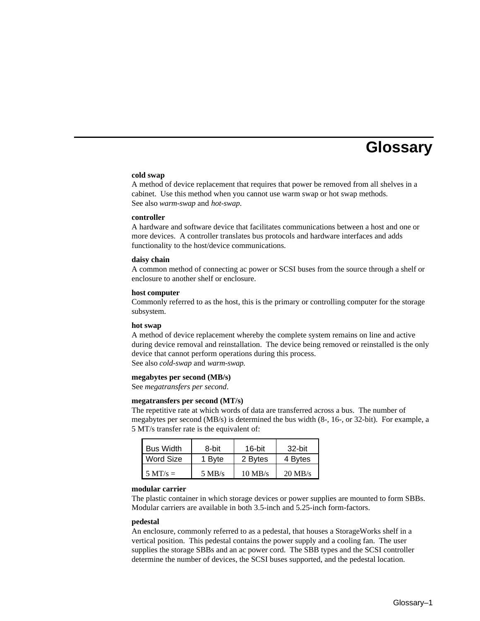# **Glossary**

#### **cold swap**

A method of device replacement that requires that power be removed from all shelves in a cabinet. Use this method when you cannot use warm swap or hot swap methods. See also *warm-swap* and *hot-swap*.

#### **controller**

A hardware and software device that facilitates communications between a host and one or more devices. A controller translates bus protocols and hardware interfaces and adds functionality to the host/device communications.

#### **daisy chain**

A common method of connecting ac power or SCSI buses from the source through a shelf or enclosure to another shelf or enclosure.

#### **host computer**

Commonly referred to as the host, this is the primary or controlling computer for the storage subsystem.

#### **hot swap**

A method of device replacement whereby the complete system remains on line and active during device removal and reinstallation. The device being removed or reinstalled is the only device that cannot perform operations during this process. See also *cold-swap* and *warm-swap*.

#### **megabytes per second (MB/s)**

See *megatransfers per second*.

#### **megatransfers per second (MT/s)**

The repetitive rate at which words of data are transferred across a bus. The number of megabytes per second (MB/s) is determined the bus width (8-, 16-, or 32-bit). For example, a 5 MT/s transfer rate is the equivalent of:

| <b>Bus Width</b>   | 8-bit            | $16$ -bit | 32-bit            |
|--------------------|------------------|-----------|-------------------|
| Word Size          | 1 Byte           | 2 Bytes   | 4 Bytes           |
| $5 \text{ MT/s} =$ | $5 \text{ MB/s}$ | $10$ MB/s | $20 \text{ MB/s}$ |

#### **modular carrier**

The plastic container in which storage devices or power supplies are mounted to form SBBs. Modular carriers are available in both 3.5-inch and 5.25-inch form-factors.

#### **pedestal**

An enclosure, commonly referred to as a pedestal, that houses a StorageWorks shelf in a vertical position. This pedestal contains the power supply and a cooling fan. The user supplies the storage SBBs and an ac power cord. The SBB types and the SCSI controller determine the number of devices, the SCSI buses supported, and the pedestal location.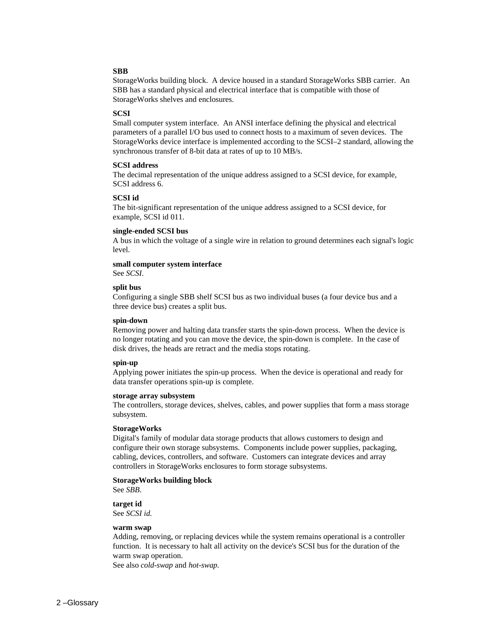#### **SBB**

StorageWorks building block. A device housed in a standard StorageWorks SBB carrier. An SBB has a standard physical and electrical interface that is compatible with those of StorageWorks shelves and enclosures.

#### **SCSI**

Small computer system interface. An ANSI interface defining the physical and electrical parameters of a parallel I/O bus used to connect hosts to a maximum of seven devices. The StorageWorks device interface is implemented according to the SCSI–2 standard, allowing the synchronous transfer of 8-bit data at rates of up to 10 MB/s.

#### **SCSI address**

The decimal representation of the unique address assigned to a SCSI device, for example, SCSI address 6.

#### **SCSI id**

The bit-significant representation of the unique address assigned to a SCSI device, for example, SCSI id 011.

#### **single-ended SCSI bus**

A bus in which the voltage of a single wire in relation to ground determines each signal's logic level.

#### **small computer system interface**

See *SCSI*.

#### **split bus**

Configuring a single SBB shelf SCSI bus as two individual buses (a four device bus and a three device bus) creates a split bus.

#### **spin-down**

Removing power and halting data transfer starts the spin-down process. When the device is no longer rotating and you can move the device, the spin-down is complete. In the case of disk drives, the heads are retract and the media stops rotating.

#### **spin-up**

Applying power initiates the spin-up process. When the device is operational and ready for data transfer operations spin-up is complete.

#### **storage array subsystem**

The controllers, storage devices, shelves, cables, and power supplies that form a mass storage subsystem.

#### **StorageWorks**

Digital's family of modular data storage products that allows customers to design and configure their own storage subsystems. Components include power supplies, packaging, cabling, devices, controllers, and software. Customers can integrate devices and array controllers in StorageWorks enclosures to form storage subsystems.

### **StorageWorks building block**

See *SBB*.

**target id** See *SCSI id.*

#### **warm swap**

Adding, removing, or replacing devices while the system remains operational is a controller function. It is necessary to halt all activity on the device's SCSI bus for the duration of the warm swap operation.

See also *cold-swap* and *hot-swap*.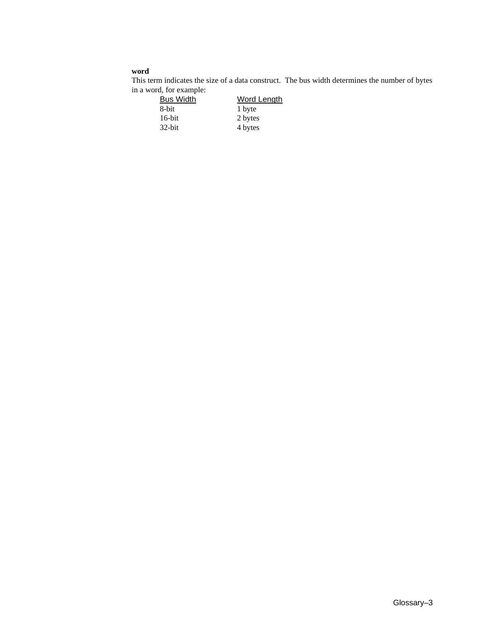### **word**

This term indicates the size of a data construct. The bus width determines the number of bytes

| in a word, for example: |                    |
|-------------------------|--------------------|
| <b>Bus Width</b>        | <b>Word Length</b> |
| 8-bit                   | 1 byte             |
| $16$ -bit               | 2 bytes            |
| $32$ -bit               | 4 bytes            |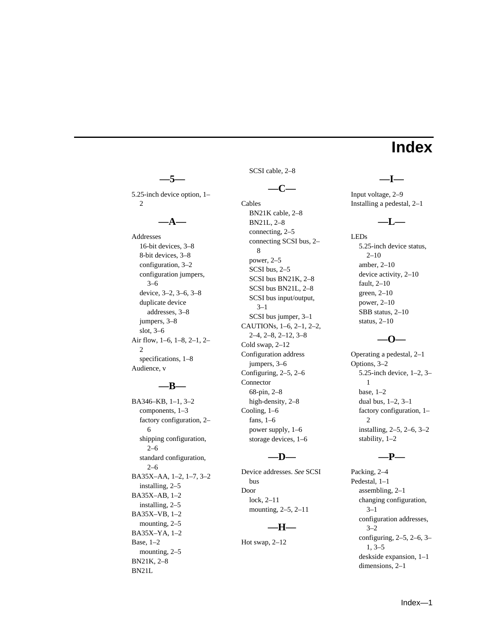# **Index**

5.25-inch device option, 1– 2

**—5—**

### **—A—**

Addresses 16-bit devices, 3–8 8-bit devices, 3–8 configuration, 3–2 configuration jumpers, 3–6 device, 3–2, 3–6, 3–8 duplicate device addresses, 3–8 jumpers, 3–8 slot, 3–6 Air flow, 1–6, 1–8, 2–1, 2– 2 specifications, 1–8 Audience, v

### **—B—**

BA346–KB, 1–1, 3–2 components, 1–3 factory configuration, 2– 6 shipping configuration, 2–6 standard configuration, 2–6 BA35X–AA, 1–2, 1–7, 3–2 installing, 2–5 BA35X–AB, 1–2 installing, 2–5 BA35X–VB, 1–2 mounting, 2–5 BA35X–YA, 1–2 Base, 1–2 mounting, 2–5 BN21K, 2–8 BN21L

SCSI cable, 2–8

```
—C—
```
Cables

BN21K cable, 2–8 BN21L, 2–8 connecting, 2–5 connecting SCSI bus, 2– 8 power, 2–5 SCSI bus, 2–5 SCSI bus BN21K, 2–8 SCSI bus BN21L, 2–8 SCSI bus input/output, 3–1 SCSI bus jumper, 3–1 CAUTIONs, 1–6, 2–1, 2–2, 2–4, 2–8, 2–12, 3–8 Cold swap, 2–12 Configuration address jumpers, 3–6 Configuring, 2–5, 2–6 Connector 68-pin, 2–8 high-density, 2–8 Cooling, 1–6 fans, 1–6 power supply, 1–6 storage devices, 1–6

#### **—D—**

Device addresses. *See* SCSI bus Door lock, 2–11 mounting, 2–5, 2–11

### **—H—**

Hot swap, 2–12

### Input voltage, 2–9 Installing a pedestal, 2–1

**—I—**

### **—L—**

LEDs 5.25-inch device status,  $2 - 10$ amber, 2–10 device activity, 2–10 fault, 2–10 green, 2–10 power, 2–10 SBB status, 2–10 status, 2–10

### **—O—**

Operating a pedestal, 2–1 Options, 3–2 5.25-inch device, 1–2, 3– 1 base, 1–2 dual bus, 1–2, 3–1 factory configuration, 1– 2 installing, 2–5, 2–6, 3–2 stability, 1–2

### **—P—**

Packing, 2–4 Pedestal, 1–1 assembling, 2–1 changing configuration, 3–1 configuration addresses, 3–2 configuring, 2–5, 2–6, 3– 1, 3–5 deskside expansion, 1–1 dimensions, 2–1